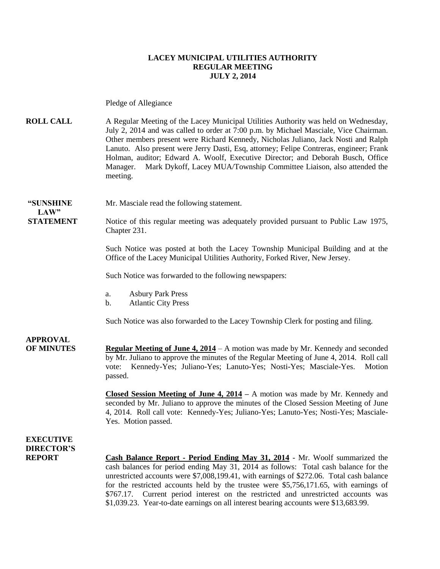#### **LACEY MUNICIPAL UTILITIES AUTHORITY REGULAR MEETING JULY 2, 2014**

Pledge of Allegiance

**ROLL CALL** A Regular Meeting of the Lacey Municipal Utilities Authority was held on Wednesday, July 2, 2014 and was called to order at 7:00 p.m. by Michael Masciale, Vice Chairman. Other members present were Richard Kennedy, Nicholas Juliano, Jack Nosti and Ralph Lanuto. Also present were Jerry Dasti, Esq, attorney; Felipe Contreras, engineer; Frank Holman, auditor; Edward A. Woolf, Executive Director; and Deborah Busch, Office Manager. Mark Dykoff, Lacey MUA/Township Committee Liaison, also attended the meeting.

**"SUNSHINE** Mr. Masciale read the following statement.

**STATEMENT** Notice of this regular meeting was adequately provided pursuant to Public Law 1975, Chapter 231.

> Such Notice was posted at both the Lacey Township Municipal Building and at the Office of the Lacey Municipal Utilities Authority, Forked River, New Jersey.

Such Notice was forwarded to the following newspapers:

- a. Asbury Park Press
- b. Atlantic City Press

Such Notice was also forwarded to the Lacey Township Clerk for posting and filing.

**APPROVAL OF MINUTES Regular Meeting of June 4, 2014** – A motion was made by Mr. Kennedy and seconded by Mr. Juliano to approve the minutes of the Regular Meeting of June 4, 2014. Roll call vote: Kennedy-Yes; Juliano-Yes; Lanuto-Yes; Nosti-Yes; Masciale-Yes. Motion passed.

> **Closed Session Meeting of June 4, 2014 –** A motion was made by Mr. Kennedy and seconded by Mr. Juliano to approve the minutes of the Closed Session Meeting of June 4, 2014. Roll call vote: Kennedy-Yes; Juliano-Yes; Lanuto-Yes; Nosti-Yes; Masciale-Yes. Motion passed.

**EXECUTIVE DIRECTOR'S**

**LAW"** 

**REPORT Cash Balance Report - Period Ending May 31, 2014** - Mr. Woolf summarized the cash balances for period ending May 31, 2014 as follows: Total cash balance for the unrestricted accounts were \$7,008,199.41, with earnings of \$272.06. Total cash balance for the restricted accounts held by the trustee were \$5,756,171.65, with earnings of \$767.17. Current period interest on the restricted and unrestricted accounts was \$1,039.23. Year-to-date earnings on all interest bearing accounts were \$13,683.99.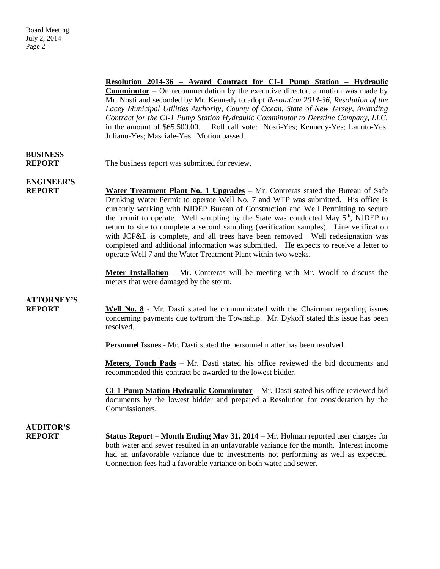**Resolution 2014-36 – Award Contract for CI-1 Pump Station – Hydraulic Comminutor** – On recommendation by the executive director, a motion was made by Mr. Nosti and seconded by Mr. Kennedy to adopt *Resolution 2014-36, Resolution of the Lacey Municipal Utilities Authority, County of Ocean, State of New Jersey, Awarding Contract for the CI-1 Pump Station Hydraulic Comminutor to Derstine Company, LLC.*  in the amount of \$65,500.00.Roll call vote: Nosti-Yes; Kennedy-Yes; Lanuto-Yes; Juliano-Yes; Masciale-Yes. Motion passed.

# **BUSINESS**

**REPORT** The business report was submitted for review.

**ENGINEER'S**

**REPORT Water Treatment Plant No. 1 Upgrades** – Mr. Contreras stated the Bureau of Safe Drinking Water Permit to operate Well No. 7 and WTP was submitted. His office is currently working with NJDEP Bureau of Construction and Well Permitting to secure the permit to operate. Well sampling by the State was conducted May  $5<sup>th</sup>$ , NJDEP to return to site to complete a second sampling (verification samples). Line verification with JCP&L is complete, and all trees have been removed. Well redesignation was completed and additional information was submitted. He expects to receive a letter to operate Well 7 and the Water Treatment Plant within two weeks.

> **Meter Installation** – Mr. Contreras will be meeting with Mr. Woolf to discuss the meters that were damaged by the storm.

## **ATTORNEY'S**

**REPORT Well No. 8** - Mr. Dasti stated he communicated with the Chairman regarding issues concerning payments due to/from the Township. Mr. Dykoff stated this issue has been resolved.

**Personnel Issues** - Mr. Dasti stated the personnel matter has been resolved.

**Meters, Touch Pads** – Mr. Dasti stated his office reviewed the bid documents and recommended this contract be awarded to the lowest bidder.

**CI-1 Pump Station Hydraulic Comminutor** – Mr. Dasti stated his office reviewed bid documents by the lowest bidder and prepared a Resolution for consideration by the Commissioners.

## **AUDITOR'S**

**REPORT Status Report – Month Ending May 31, 2014 –** Mr. Holman reported user charges for both water and sewer resulted in an unfavorable variance for the month. Interest income had an unfavorable variance due to investments not performing as well as expected. Connection fees had a favorable variance on both water and sewer.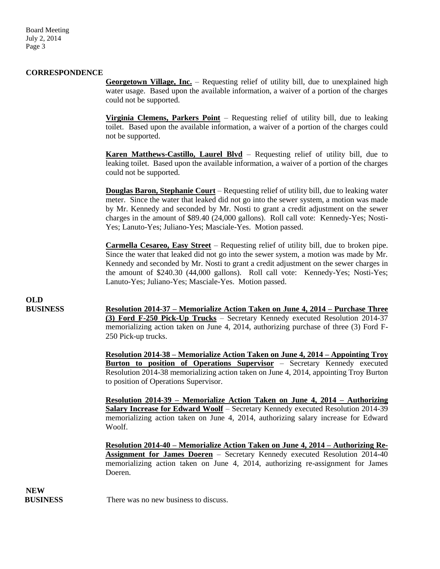Board Meeting July 2, 2014 Page 3

#### **CORRESPONDENCE**

**Georgetown Village, Inc.** – Requesting relief of utility bill, due to unexplained high water usage. Based upon the available information, a waiver of a portion of the charges could not be supported.

**Virginia Clemens, Parkers Point** – Requesting relief of utility bill, due to leaking toilet. Based upon the available information, a waiver of a portion of the charges could not be supported.

**Karen Matthews-Castillo, Laurel Blvd** – Requesting relief of utility bill, due to leaking toilet. Based upon the available information, a waiver of a portion of the charges could not be supported.

**Douglas Baron, Stephanie Court** – Requesting relief of utility bill, due to leaking water meter. Since the water that leaked did not go into the sewer system, a motion was made by Mr. Kennedy and seconded by Mr. Nosti to grant a credit adjustment on the sewer charges in the amount of \$89.40 (24,000 gallons). Roll call vote: Kennedy-Yes; Nosti-Yes; Lanuto-Yes; Juliano-Yes; Masciale-Yes. Motion passed.

**Carmella Cesareo, Easy Street** – Requesting relief of utility bill, due to broken pipe. Since the water that leaked did not go into the sewer system, a motion was made by Mr. Kennedy and seconded by Mr. Nosti to grant a credit adjustment on the sewer charges in the amount of \$240.30 (44,000 gallons). Roll call vote: Kennedy-Yes; Nosti-Yes; Lanuto-Yes; Juliano-Yes; Masciale-Yes. Motion passed.

**OLD**

**BUSINESS Resolution 2014-37 – Memorialize Action Taken on June 4, 2014 – Purchase Three (3) Ford F-250 Pick-Up Trucks** – Secretary Kennedy executed Resolution 2014-37 memorializing action taken on June 4, 2014, authorizing purchase of three (3) Ford F-250 Pick-up trucks.

> **Resolution 2014-38 – Memorialize Action Taken on June 4, 2014 – Appointing Troy Burton to position of Operations Supervisor** – Secretary Kennedy executed Resolution 2014-38 memorializing action taken on June 4, 2014, appointing Troy Burton to position of Operations Supervisor.

> **Resolution 2014-39 – Memorialize Action Taken on June 4, 2014 – Authorizing Salary Increase for Edward Woolf** – Secretary Kennedy executed Resolution 2014-39 memorializing action taken on June 4, 2014, authorizing salary increase for Edward Woolf.

> **Resolution 2014-40 – Memorialize Action Taken on June 4, 2014 – Authorizing Re-Assignment for James Doeren** – Secretary Kennedy executed Resolution 2014-40 memorializing action taken on June 4, 2014, authorizing re-assignment for James Doeren.

**NEW** 

**BUSINESS** There was no new business to discuss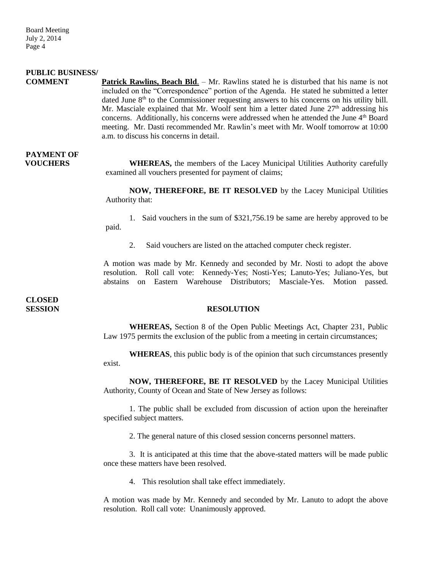### **PUBLIC BUSINESS/**

**COMMENT Patrick Rawlins, Beach Bld**. – Mr. Rawlins stated he is disturbed that his name is not included on the "Correspondence" portion of the Agenda. He stated he submitted a letter dated June  $8<sup>th</sup>$  to the Commissioner requesting answers to his concerns on his utility bill. Mr. Masciale explained that Mr. Woolf sent him a letter dated June  $27<sup>th</sup>$  addressing his concerns. Additionally, his concerns were addressed when he attended the June 4<sup>th</sup> Board meeting. Mr. Dasti recommended Mr. Rawlin's meet with Mr. Woolf tomorrow at 10:00 a.m. to discuss his concerns in detail.

# **PAYMENT OF**

**VOUCHERS** WHEREAS, the members of the Lacey Municipal Utilities Authority carefully examined all vouchers presented for payment of claims;

> **NOW, THEREFORE, BE IT RESOLVED** by the Lacey Municipal Utilities Authority that:

> 1. Said vouchers in the sum of \$321,756.19 be same are hereby approved to be paid.

2. Said vouchers are listed on the attached computer check register.

A motion was made by Mr. Kennedy and seconded by Mr. Nosti to adopt the above resolution. Roll call vote: Kennedy-Yes; Nosti-Yes; Lanuto-Yes; Juliano-Yes, but abstains on Eastern Warehouse Distributors; Masciale-Yes. Motion passed.

**CLOSED** 

#### **SESSION RESOLUTION**

**WHEREAS,** Section 8 of the Open Public Meetings Act, Chapter 231, Public Law 1975 permits the exclusion of the public from a meeting in certain circumstances;

**WHEREAS**, this public body is of the opinion that such circumstances presently exist.

**NOW, THEREFORE, BE IT RESOLVED** by the Lacey Municipal Utilities Authority, County of Ocean and State of New Jersey as follows:

1. The public shall be excluded from discussion of action upon the hereinafter specified subject matters.

2. The general nature of this closed session concerns personnel matters.

3. It is anticipated at this time that the above-stated matters will be made public once these matters have been resolved.

4. This resolution shall take effect immediately.

A motion was made by Mr. Kennedy and seconded by Mr. Lanuto to adopt the above resolution. Roll call vote: Unanimously approved.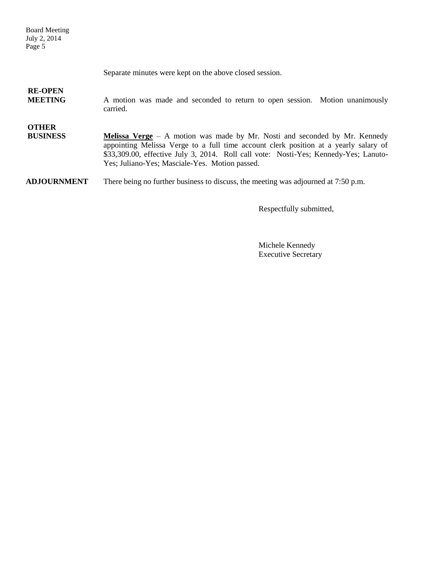Board Meeting July 2, 2014 Page 5

Separate minutes were kept on the above closed session.

## **RE-OPEN**

**MEETING** A motion was made and seconded to return to open session. Motion unanimously carried.

### **OTHER**

**BUSINESS Melissa Verge** – A motion was made by Mr. Nosti and seconded by Mr. Kennedy appointing Melissa Verge to a full time account clerk position at a yearly salary of \$33,309.00, effective July 3, 2014. Roll call vote: Nosti-Yes; Kennedy-Yes; Lanuto-Yes; Juliano-Yes; Masciale-Yes. Motion passed.

**ADJOURNMENT** There being no further business to discuss, the meeting was adjourned at 7:50 p.m.

Respectfully submitted,

Michele Kennedy Executive Secretary